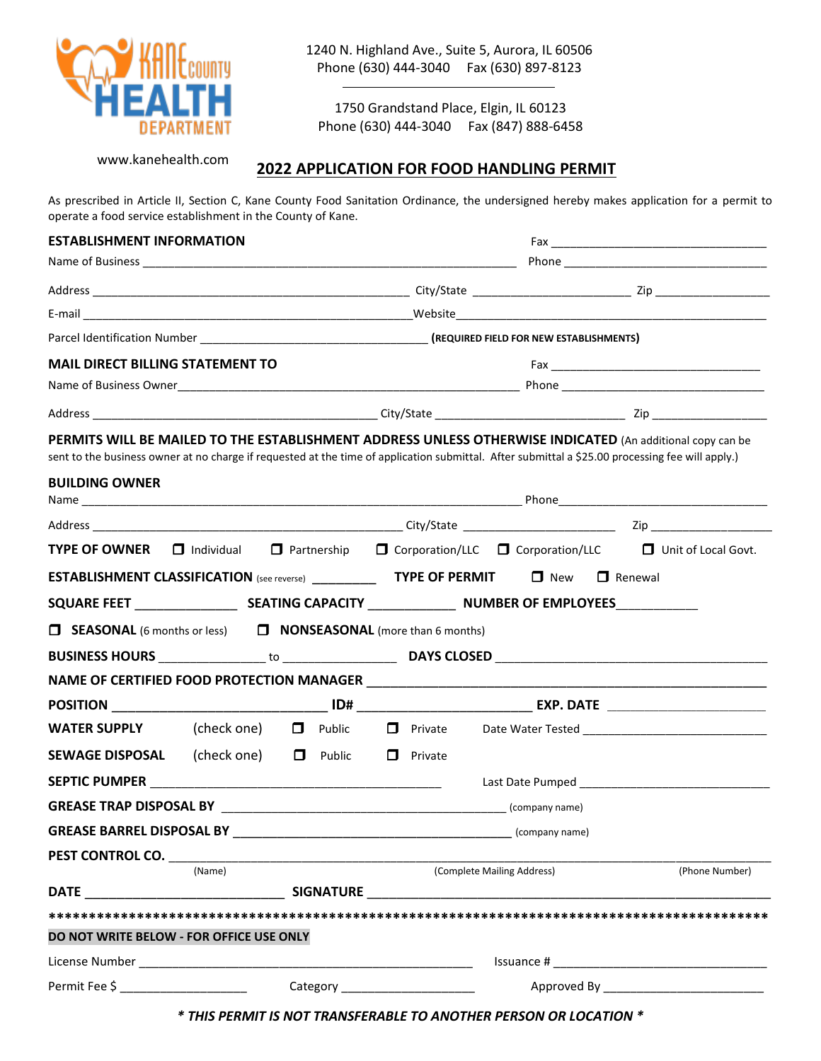

1240 N. Highland Ave., Suite 5, Aurora, IL 60506 Phone (630) 444-3040 Fax (630) 897-8123

1750 Grandstand Place, Elgin, IL 60123 Phone (630) 444-3040 Fax (847) 888-6458

www.kanehealth.com

## **2022 APPLICATION FOR FOOD HANDLING PERMIT**

As prescribed in Article II, Section C, Kane County Food Sanitation Ordinance, the undersigned hereby makes application for a permit to operate a food service establishment in the County of Kane.

| <b>ESTABLISHMENT INFORMATION</b>                                                                                                                 |        |  |  |  |  |                            |  |                                                                                                                                    |  |
|--------------------------------------------------------------------------------------------------------------------------------------------------|--------|--|--|--|--|----------------------------|--|------------------------------------------------------------------------------------------------------------------------------------|--|
|                                                                                                                                                  |        |  |  |  |  |                            |  |                                                                                                                                    |  |
|                                                                                                                                                  |        |  |  |  |  |                            |  |                                                                                                                                    |  |
|                                                                                                                                                  |        |  |  |  |  |                            |  |                                                                                                                                    |  |
|                                                                                                                                                  |        |  |  |  |  |                            |  |                                                                                                                                    |  |
| <b>MAIL DIRECT BILLING STATEMENT TO</b>                                                                                                          |        |  |  |  |  |                            |  |                                                                                                                                    |  |
|                                                                                                                                                  |        |  |  |  |  |                            |  |                                                                                                                                    |  |
|                                                                                                                                                  |        |  |  |  |  |                            |  |                                                                                                                                    |  |
| sent to the business owner at no charge if requested at the time of application submittal. After submittal a \$25.00 processing fee will apply.) |        |  |  |  |  |                            |  | PERMITS WILL BE MAILED TO THE ESTABLISHMENT ADDRESS UNLESS OTHERWISE INDICATED (An additional copy can be                          |  |
| <b>BUILDING OWNER</b>                                                                                                                            |        |  |  |  |  |                            |  |                                                                                                                                    |  |
|                                                                                                                                                  |        |  |  |  |  |                            |  |                                                                                                                                    |  |
|                                                                                                                                                  |        |  |  |  |  |                            |  | <b>TYPE OF OWNER</b> $\Box$ Individual $\Box$ Partnership $\Box$ Corporation/LLC $\Box$ Corporation/LLC $\Box$ Unit of Local Govt. |  |
| <b>ESTABLISHMENT CLASSIFICATION</b> (see reverse) <b>TYPE OF PERMIT</b> $\Box$ New $\Box$ Renewal                                                |        |  |  |  |  |                            |  |                                                                                                                                    |  |
|                                                                                                                                                  |        |  |  |  |  |                            |  |                                                                                                                                    |  |
| $\Box$ SEASONAL (6 months or less) $\Box$ NONSEASONAL (more than 6 months)                                                                       |        |  |  |  |  |                            |  |                                                                                                                                    |  |
|                                                                                                                                                  |        |  |  |  |  |                            |  |                                                                                                                                    |  |
|                                                                                                                                                  |        |  |  |  |  |                            |  |                                                                                                                                    |  |
|                                                                                                                                                  |        |  |  |  |  |                            |  |                                                                                                                                    |  |
| <b>WATER SUPPLY</b> (check one) D Public                                                                                                         |        |  |  |  |  |                            |  |                                                                                                                                    |  |
| SEWAGE DISPOSAL (check one) D Public D Private                                                                                                   |        |  |  |  |  |                            |  |                                                                                                                                    |  |
|                                                                                                                                                  |        |  |  |  |  |                            |  |                                                                                                                                    |  |
|                                                                                                                                                  |        |  |  |  |  |                            |  |                                                                                                                                    |  |
|                                                                                                                                                  |        |  |  |  |  | (company name)             |  |                                                                                                                                    |  |
| GREASE BARREL DISPOSAL BY <b>STARFERE</b>                                                                                                        |        |  |  |  |  |                            |  |                                                                                                                                    |  |
|                                                                                                                                                  |        |  |  |  |  |                            |  |                                                                                                                                    |  |
|                                                                                                                                                  | (Name) |  |  |  |  | (Complete Mailing Address) |  | (Phone Number)                                                                                                                     |  |
|                                                                                                                                                  |        |  |  |  |  |                            |  |                                                                                                                                    |  |
|                                                                                                                                                  |        |  |  |  |  |                            |  |                                                                                                                                    |  |
| DO NOT WRITE BELOW - FOR OFFICE USE ONLY                                                                                                         |        |  |  |  |  |                            |  |                                                                                                                                    |  |
|                                                                                                                                                  |        |  |  |  |  |                            |  |                                                                                                                                    |  |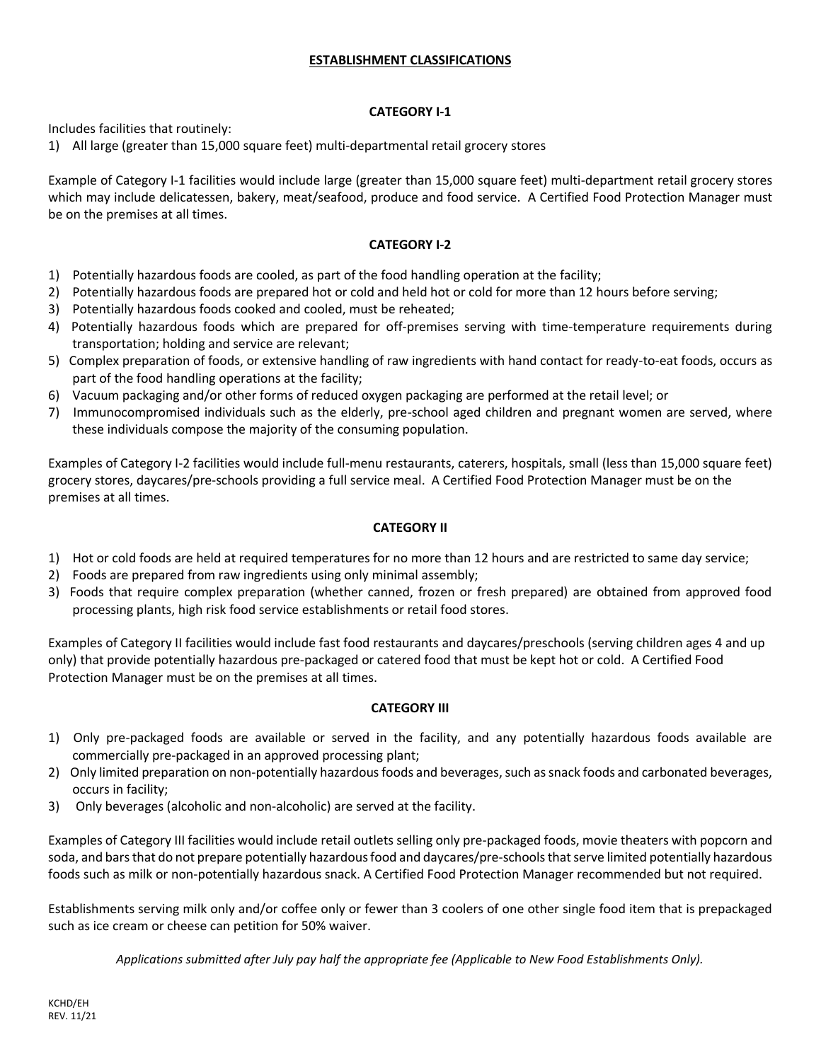### **ESTABLISHMENT CLASSIFICATIONS**

#### **CATEGORY I-1**

Includes facilities that routinely:

1) All large (greater than 15,000 square feet) multi-departmental retail grocery stores

Example of Category I-1 facilities would include large (greater than 15,000 square feet) multi-department retail grocery stores which may include delicatessen, bakery, meat/seafood, produce and food service. A Certified Food Protection Manager must be on the premises at all times.

#### **CATEGORY I-2**

- 1) Potentially hazardous foods are cooled, as part of the food handling operation at the facility;
- 2) Potentially hazardous foods are prepared hot or cold and held hot or cold for more than 12 hours before serving;
- 3) Potentially hazardous foods cooked and cooled, must be reheated;
- 4) Potentially hazardous foods which are prepared for off-premises serving with time-temperature requirements during transportation; holding and service are relevant;
- 5) Complex preparation of foods, or extensive handling of raw ingredients with hand contact for ready-to-eat foods, occurs as part of the food handling operations at the facility;
- 6) Vacuum packaging and/or other forms of reduced oxygen packaging are performed at the retail level; or
- 7) Immunocompromised individuals such as the elderly, pre-school aged children and pregnant women are served, where these individuals compose the majority of the consuming population.

Examples of Category I-2 facilities would include full-menu restaurants, caterers, hospitals, small (less than 15,000 square feet) grocery stores, daycares/pre-schools providing a full service meal. A Certified Food Protection Manager must be on the premises at all times.

#### **CATEGORY II**

- 1) Hot or cold foods are held at required temperatures for no more than 12 hours and are restricted to same day service;
- 2) Foods are prepared from raw ingredients using only minimal assembly;
- 3) Foods that require complex preparation (whether canned, frozen or fresh prepared) are obtained from approved food processing plants, high risk food service establishments or retail food stores.

Examples of Category II facilities would include fast food restaurants and daycares/preschools (serving children ages 4 and up only) that provide potentially hazardous pre-packaged or catered food that must be kept hot or cold. A Certified Food Protection Manager must be on the premises at all times.

### **CATEGORY III**

- 1) Only pre-packaged foods are available or served in the facility, and any potentially hazardous foods available are commercially pre-packaged in an approved processing plant;
- 2) Only limited preparation on non-potentially hazardous foods and beverages, such as snack foods and carbonated beverages, occurs in facility;
- 3) Only beverages (alcoholic and non-alcoholic) are served at the facility.

Examples of Category III facilities would include retail outlets selling only pre-packaged foods, movie theaters with popcorn and soda, and bars that do not prepare potentially hazardous food and daycares/pre-schools that serve limited potentially hazardous foods such as milk or non-potentially hazardous snack. A Certified Food Protection Manager recommended but not required.

Establishments serving milk only and/or coffee only or fewer than 3 coolers of one other single food item that is prepackaged such as ice cream or cheese can petition for 50% waiver.

*Applications submitted after July pay half the appropriate fee (Applicable to New Food Establishments Only).*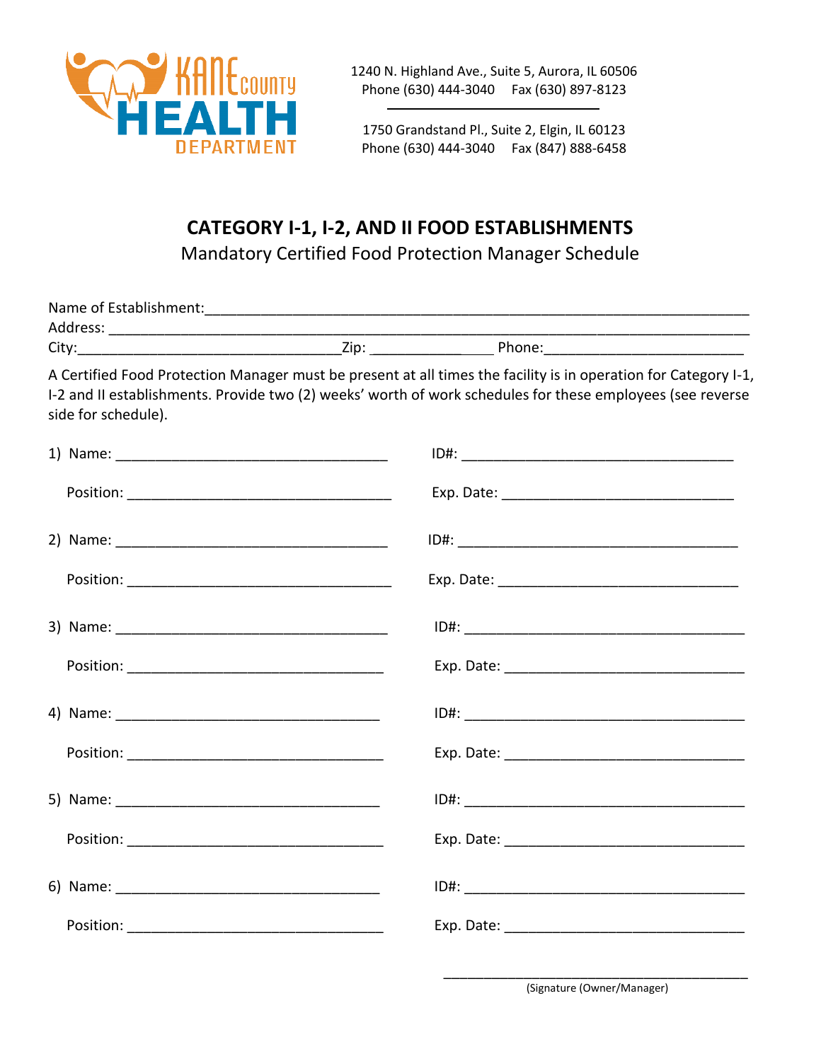

1240 N. Highland Ave., Suite 5, Aurora, IL 60506 Phone (630) 444-3040 Fax (630) 897-8123

1750 Grandstand Pl., Suite 2, Elgin, IL 60123 Phone (630) 444-3040 Fax (847) 888-6458

# **CATEGORY I-1, I-2, AND II FOOD ESTABLISHMENTS**

Mandatory Certified Food Protection Manager Schedule

| side for schedule). | A Certified Food Protection Manager must be present at all times the facility is in operation for Category I-1,<br>I-2 and II establishments. Provide two (2) weeks' worth of work schedules for these employees (see reverse |
|---------------------|-------------------------------------------------------------------------------------------------------------------------------------------------------------------------------------------------------------------------------|
|                     |                                                                                                                                                                                                                               |
|                     |                                                                                                                                                                                                                               |
|                     |                                                                                                                                                                                                                               |
|                     |                                                                                                                                                                                                                               |
|                     |                                                                                                                                                                                                                               |
|                     |                                                                                                                                                                                                                               |
|                     |                                                                                                                                                                                                                               |
|                     |                                                                                                                                                                                                                               |
|                     |                                                                                                                                                                                                                               |
|                     |                                                                                                                                                                                                                               |
|                     |                                                                                                                                                                                                                               |
|                     |                                                                                                                                                                                                                               |

\_\_\_\_\_\_\_\_\_\_\_\_\_\_\_\_\_\_\_\_\_\_\_\_\_\_\_\_\_\_\_\_\_\_\_\_\_\_ (Signature (Owner/Manager)